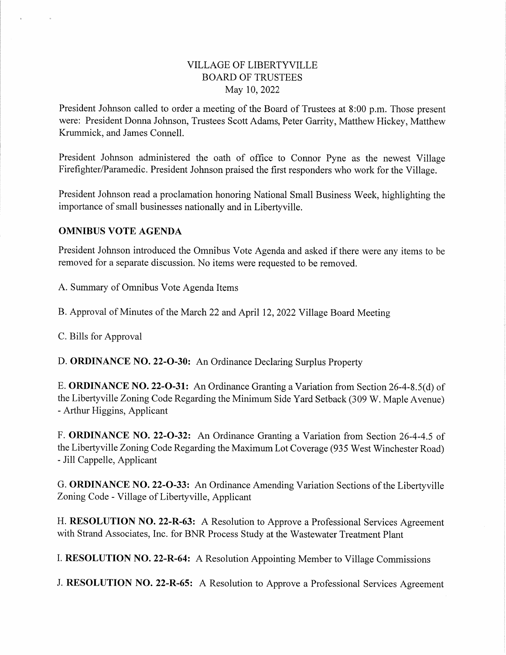### VILLAGE OF LIBERTYVILLE BOARD OF TRUSTEES May 10,2022

President Johnson called to order a meeting of the Board of Trustees at 8:00 p.m. Those present were: President Donna Johnson, Trustees Scott Adams, Peter Garrity, Matthew Hickey, Matthew Krummick, and James Connell.

President Johnson administered the oath of office to Connor Pyne as the newest Village Firefighter/Paramedic. President Johnson praised the first responders who work for the Village.

President Johnson read a proclamation honoring National Small Business Week, highlighting the importance of small businesses nationally and in Libertyville.

#### OMNIBUS VOTE AGENDA

President Johnson introduced the Omnibus Vote Agenda and asked if there were any items to be removed for a separate discussion. No items were requested to be removed.

A. Summary of Omnibus Vote Agenda Items

B. Approval of Minutes of the March 22 and April 12, 2022 Village Board Meeting

C. Bills for Approval

D. ORDINANCE NO. 22-0-30: An Ordinance Declaring Surplus Property

E. ORDINANCE NO. 22-0-31: An Ordinance Granting a Variation from Section 26-4-8.5(d) of the Liberty ville Zoning Code Regarding the Minimum Side Yard Setback (309 W. Maple Avenue) - Arthur Higgins, Applicant

F. ORDINANCE NO. 22-0-32: An Ordinance Granting a Variation from Section 26-4-4.5 of the Liberty ville Zoning Code Regarding the Maximum Lot Coverage (935 West Winchester Road) - Jill Cappelle, Applicant

G. ORDINANCE NO. 22-O-33: An Ordinance Amending Variation Sections of the Liberty ville Zoning Code - Village of Liberty ville. Applicant

H. RESOLUTION NO. 22-R-63: A Resolution to Approve a Professional Services Agreement with Strand Associates, Inc. for BNR Process Study at the Wastewater Treatment Plant

I. RESOLUTION NO. 22-R-64: A Resolution Appointing Member to Village Commissions

J. RESOLUTION NO. 22-R-65: A Resolution to Approve a Professional Services Agreement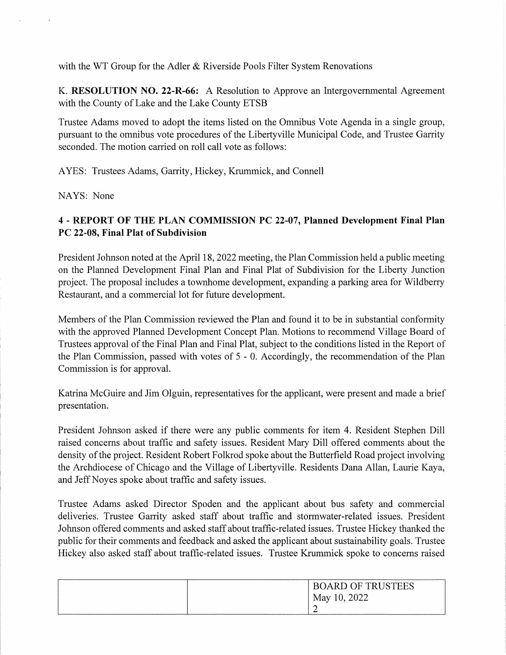with the WT Group for the Adler & Riverside Pools Filter System Renovations

K. RESOLUTION NO. 22-R-66: A Resolution to Approve an Intergovernmental Agreement with the County of Lake and the Lake County ETSB

Trustee Adams moved to adopt the items listed on the Omnibus Vote Agenda in a single group, pursuant to the omnibus vote procedures of the Liberty ville Municipal Code, and Trustee Garrity seconded. The motion carried on roll call vote as follows:

AYES: Trustees Adams, Garrity, Hickey, Krummick, and Connell

NAYS: None

## 4 - REPORT OF THE PLAN COMMISSION PC 22-07, Planned Development Final Plan PC 22-08, Final Plat of Subdivision

President Johnson noted at the April 18,2022 meeting, the Plan Commission held a public meeting on the Planned Development Final Plan and Final Plat of Subdivision for the Liberty Junction project. The proposal includes a townhome development, expanding a parking area for Wildberry Restaurant, and a commercial lot for future development.

Members of the Plan Commission reviewed the Plan and found it to be in substantial conformity with the approved Planned Development Concept Plan. Motions to recommend Village Board of Trustees approval of the Final Plan and Final Plat, subject to the conditions listed in the Report of the Plan Commission, passed with votes of 5 - 0. Accordingly, the recommendation of the Plan Commission is for approval.

Katrina McGuire and Jim Olguin, representatives for the applicant, were present and made a brief presentation.

President Johnson asked if there were any public comments for item 4. Resident Stephen Dill raised concerns about traffic and safety issues. Resident Mary Dill offered comments about the density of the project. Resident Robert Folkrod spoke about the Butterfield Road project involving the Archdiocese of Chicago and the Village of Libertyville. Residents Dana Allan, Laurie Kaya, and Jeff Noyes spoke about traffic and safety issues.

Trustee Adams asked Director Spoden and the applicant about bus safety and commercial deliveries. Trustee Garrity asked staff about traffic and stormwater-related issues. President Johnson offered comments and asked staff about traffic-related issues. Trustee Hickey thanked the public for their comments and feedback and asked the applicant about sustainability goals. Trustee Hickey also asked staff about traffic-related issues. Trustee Krummick spoke to concerns raised

| <b>BOARD OF TRUSTEES</b> |
|--------------------------|
| May 10, 2022             |
| <u>_</u>                 |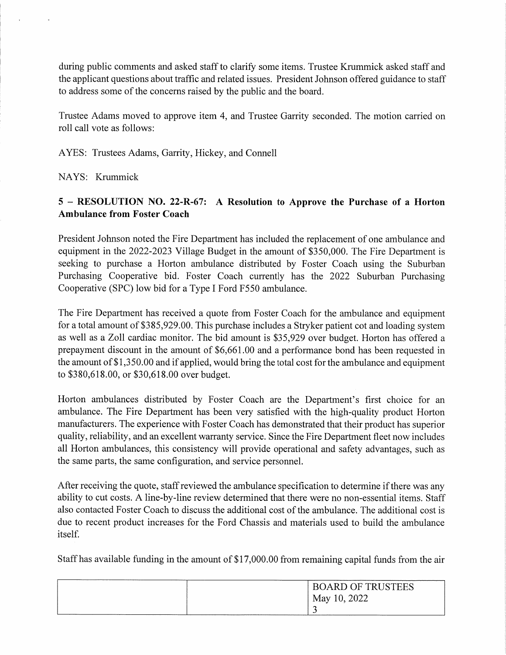during public comments and asked staff to clarify some items. Trustee Krummick asked staff and the applicant questions about traffic and related issues. President Johnson offered guidance to staff to address some of the concerns raised by the public and the board.

Trustee Adams moved to approve item 4, and Trustee Garrity seconded. The motion carried on roll call vote as follows:

AYES: Trustees Adams, Garrity, Hickey, and Connell

NAYS: Krummick

## 5 - RESOLUTION NO. 22-R-67: A Resolution to Approve the Purchase of a Horton Ambulance from Foster Coach

President Johnson noted the Fire Department has included the replacement of one ambulance and equipment in the 2022-2023 Village Budget in the amount of \$350,000. The Fire Department is seeking to purchase a Horton ambulance distributed by Foster Coach using the Suburban Purchasing Cooperative bid. Foster Coach currently has the 2022 Suburban Purchasing Cooperative (SPC) low bid for a Type I Ford F550 ambulance.

The Fire Department has received a quote from Foster Coach for the ambulance and equipment for a total amount of \$385,929.00. This purchase includes a Stryker patient cot and loading system as well as a Zoll cardiac monitor. The bid amount is \$35,929 over budget. Horton has offered a prepayment discount in the amount of \$6,661.00 and a performance bond has been requested in the amount of \$1,350.00 and if applied, would bring the total cost for the ambulance and equipment to \$380,618.00, or \$30,618.00 over budget.

Horton ambulances distributed by Foster Coach are the Department's first choice for an ambulance. The Fire Department has been very satisfied with the high-quality product Horton manufacturers. The experience with Foster Coach has demonstrated that their product has superior quality, reliability, and an excellent warranty service. Since the Fire Department fleet now includes all Horton ambulances, this consistency will provide operational and safety advantages, such as the same parts, the same configuration, and service personnel.

After receiving the quote, staff reviewed the ambulance specification to determine if there was any ability to cut costs. A line-by-line review determined that there were no non-essential items. Staff also contacted Foster Coach to discuss the additional cost of the ambulance. The additional cost is due to recent product increases for the Ford Chassis and materials used to build the ambulance itself.

Staff has available funding in the amount of \$17,000.00 from remaining capital funds from the air

| <b>BOARD OF TRUSTEES</b> |  |
|--------------------------|--|
| May 10, 2022             |  |
|                          |  |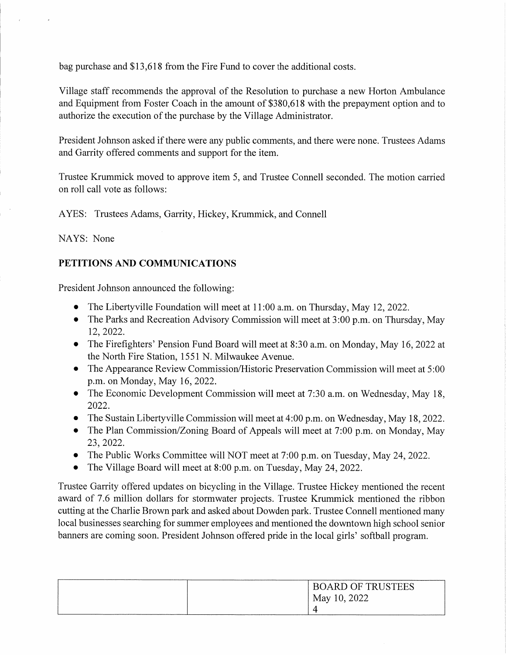bag purchase and \$13,618 from the Fire Fund to cover the additional costs.

Village staff recommends the approval of the Resolution to purchase a new Horton Ambulance and Equipment from Foster Coach in the amount of \$380,618 with the prepayment option and to authorize the execution of the purchase by the Village Administrator.

President Johnson asked if there were any public comments, and there were none. Trustees Adams and Garrity offered comments and support for the item.

Trustee Krummick moved to approve item 5, and Trustee Connell seconded. The motion carried on roll call vote as follows:

AYES: Trustees Adams, Garrity, Hickey, Krummick, and Connell

NAYS: None

# PETITIONS AND COMMUNICATIONS

President Johnson announced the following:

- The Libertyville Foundation will meet at 11:00 a.m. on Thursday, May 12, 2022.
- The Parks and Recreation Advisory Commission will meet at 3:00 p.m. on Thursday, May 12,2022.
- The Firefighters' Pension Fund Board will meet at 8:30 a.m. on Monday, May 16, 2022 at the North Fire Station, 1551 N. Milwaukee Avenue.
- The Appearance Review Commission/Historic Preservation Commission will meet at 5:00 p.m. on Monday, May 16, 2022.
- The Economic Development Commission will meet at 7:30 a.m. on Wednesday, May 18, 2022.
- The Sustain Liberty ville Commission will meet at 4:00 p.m. on Wednesday, May 18, 2022.
- The Plan Commission/Zoning Board of Appeals will meet at 7:00 p.m. on Monday, May 23,2022.
- The Public Works Committee will NOT meet at 7:00 p.m. on Tuesday, May 24, 2022.
- The Village Board will meet at 8:00 p.m. on Tuesday, May 24, 2022.

Trustee Garrity offered updates on bicycling in the Village. Trustee Hickey mentioned the recent award of 7.6 million dollars for stormwater projects. Trustee Krummick mentioned the ribbon cutting at the Charlie Brown park and asked about Dowden park. Trustee Connell mentioned many local businesses searching for summer employees and mentioned the downtown high school senior banners are coming soon. President Johnson offered pride in the local girls' softball program.

| <b>BOARD OF TRUSTEES</b> |
|--------------------------|
| May 10, 2022             |
| 4                        |